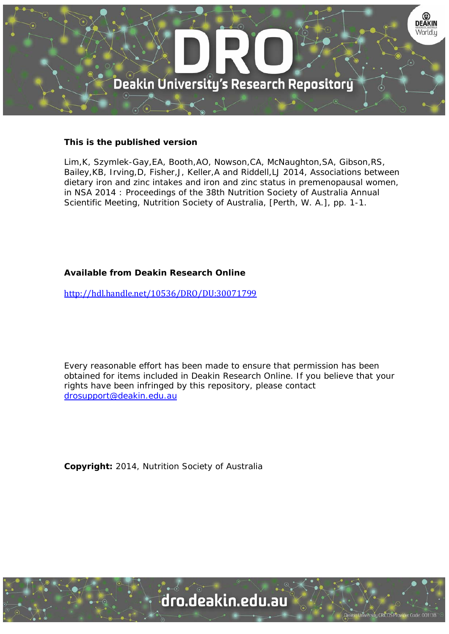

## **This is the published version**

Lim,K, Szymlek-Gay,EA, Booth,AO, Nowson,CA, McNaughton,SA, Gibson,RS, Bailey,KB, Irving,D, Fisher,J, Keller,A and Riddell,LJ 2014, Associations between dietary iron and zinc intakes and iron and zinc status in premenopausal women, in NSA 2014 : Proceedings of the 38th Nutrition Society of Australia Annual Scientific Meeting, Nutrition Society of Australia, [Perth, W. A.], pp. 1-1.

## **Available from Deakin Research Online**

http://hdl.handle.net/10536/DRO/DU:30071799

Every reasonable effort has been made to ensure that permission has been obtained for items included in Deakin Research Online. If you believe that your rights have been infringed by this repository, please contact drosupport@deakin.edu.au

**Copyright:** 2014, Nutrition Society of Australia



University CRICOS Provider Code: 00113E